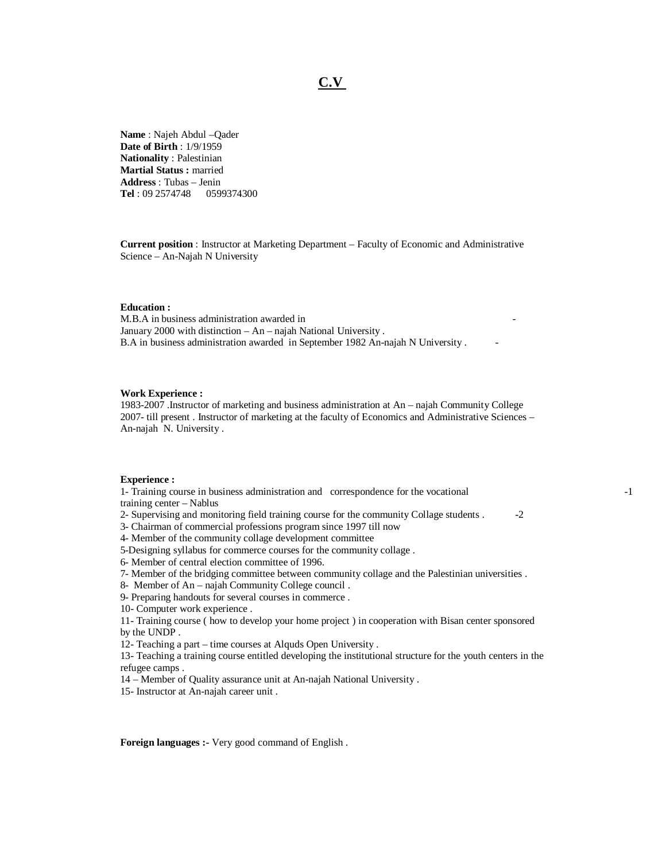## **C.V**

**Name** : Najeh Abdul –Qader **Date of Birth** : 1/9/1959 **Nationality** : Palestinian **Martial Status :** married **Address** : Tubas – Jenin **Tel** : 09 2574748 0599374300

**Current position** : Instructor at Marketing Department – Faculty of Economic and Administrative Science – An-Najah N University

## **Education :**

M.B.A in business administration awarded in January 2000 with distinction – An – najah National University . B.A in business administration awarded in September 1982 An-najah N University .

## **Work Experience :**

1983-2007 .Instructor of marketing and business administration at An – najah Community College 2007- till present . Instructor of marketing at the faculty of Economics and Administrative Sciences – An-najah N. University .

## **Experience :**

1- Training course in business administration and correspondence for the vocational -1 training center – Nablus

2- Supervising and monitoring field training course for the community Collage students . -2

3- Chairman of commercial professions program since 1997 till now

4- Member of the community collage development committee

5-Designing syllabus for commerce courses for the community collage .

- 6- Member of central election committee of 1996.
- 7- Member of the bridging committee between community collage and the Palestinian universities .
- 8- Member of An najah Community College council .

9- Preparing handouts for several courses in commerce .

10- Computer work experience .

11- Training course ( how to develop your home project ) in cooperation with Bisan center sponsored by the UNDP .

12- Teaching a part – time courses at Alquds Open University .

13- Teaching a training course entitled developing the institutional structure for the youth centers in the refugee camps .

14 – Member of Quality assurance unit at An-najah National University .

15- Instructor at An-najah career unit .

**Foreign languages :-** Very good command of English .